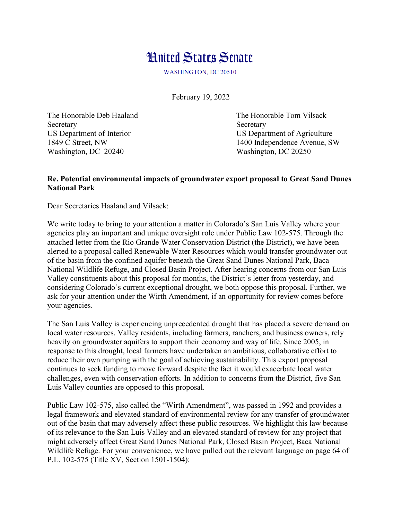## **Hnited States Senate**

WASHINGTON, DC 20510

February 19, 2022

Secretary Secretary Secretary Secretary Secretary Secretary Secretary Secretary Secretary Secretary Secretary Secretary Secretary Secretary Secretary Secretary Secretary Secretary Secretary Secretary Secretary Secretary Se Washington, DC 20240 Washington, DC 20250

The Honorable Deb Haaland The Honorable Tom Vilsack US Department of Interior US Department of Agriculture 1849 C Street, NW 1400 Independence Avenue, SW

## **Re. Potential environmental impacts of groundwater export proposal to Great Sand Dunes National Park**

Dear Secretaries Haaland and Vilsack:

We write today to bring to your attention a matter in Colorado's San Luis Valley where your agencies play an important and unique oversight role under Public Law 102-575. Through the attached letter from the Rio Grande Water Conservation District (the District), we have been alerted to a proposal called Renewable Water Resources which would transfer groundwater out of the basin from the confined aquifer beneath the Great Sand Dunes National Park, Baca National Wildlife Refuge, and Closed Basin Project. After hearing concerns from our San Luis Valley constituents about this proposal for months, the District's letter from yesterday, and considering Colorado's current exceptional drought, we both oppose this proposal. Further, we ask for your attention under the Wirth Amendment, if an opportunity for review comes before your agencies.

The San Luis Valley is experiencing unprecedented drought that has placed a severe demand on local water resources. Valley residents, including farmers, ranchers, and business owners, rely heavily on groundwater aquifers to support their economy and way of life. Since 2005, in response to this drought, local farmers have undertaken an ambitious, collaborative effort to reduce their own pumping with the goal of achieving sustainability. This export proposal continues to seek funding to move forward despite the fact it would exacerbate local water challenges, even with conservation efforts. In addition to concerns from the District, five San Luis Valley counties are opposed to this proposal.

Public Law 102-575, also called the "Wirth Amendment", was passed in 1992 and provides a legal framework and elevated standard of environmental review for any transfer of groundwater out of the basin that may adversely affect these public resources. We highlight this law because of its relevance to the San Luis Valley and an elevated standard of review for any project that might adversely affect Great Sand Dunes National Park, Closed Basin Project, Baca National Wildlife Refuge. For your convenience, we have pulled out the relevant language on page 64 of P.L. 102-575 (Title XV, Section 1501-1504):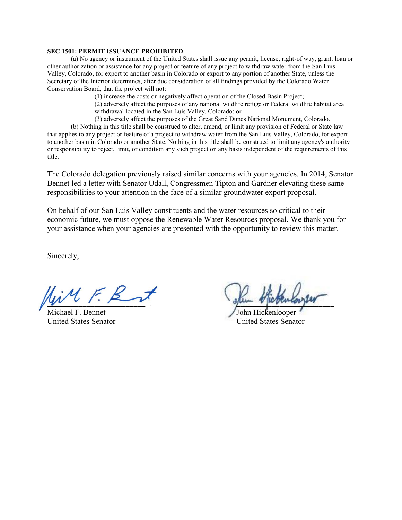## **SEC 1501: PERMIT ISSUANCE PROHIBITED**

(a) No agency or instrument of the United States shall issue any permit, license, right-of way, grant, loan or other authorization or assistance for any project or feature of any project to withdraw water from the San Luis Valley, Colorado, for export to another basin in Colorado or export to any portion of another State, unless the Secretary of the Interior determines, after due consideration of all findings provided by the Colorado Water Conservation Board, that the project will not:

(1) increase the costs or negatively affect operation of the Closed Basin Project;

(2) adversely affect the purposes of any national wildlife refuge or Federal wildlife habitat area withdrawal located in the San Luis Valley, Colorado; or

(3) adversely affect the purposes of the Great Sand Dunes National Monument, Colorado.

(b) Nothing in this title shall be construed to alter, amend, or limit any provision of Federal or State law that applies to any project or feature of a project to withdraw water from the San Luis Valley, Colorado, for export to another basin in Colorado or another State. Nothing in this title shall be construed to limit any agency's authority or responsibility to reject, limit, or condition any such project on any basis independent of the requirements of this title.

The Colorado delegation previously raised similar concerns with your agencies. In 2014, Senator Bennet led a letter with Senator Udall, Congressmen Tipton and Gardner elevating these same responsibilities to your attention in the face of a similar groundwater export proposal.

On behalf of our San Luis Valley constituents and the water resources so critical to their economic future, we must oppose the Renewable Water Resources proposal. We thank you for your assistance when your agencies are presented with the opportunity to review this matter.

Sincerely,

Michael F. Bennet

 $\psi$  open various

United States Senator United States Senator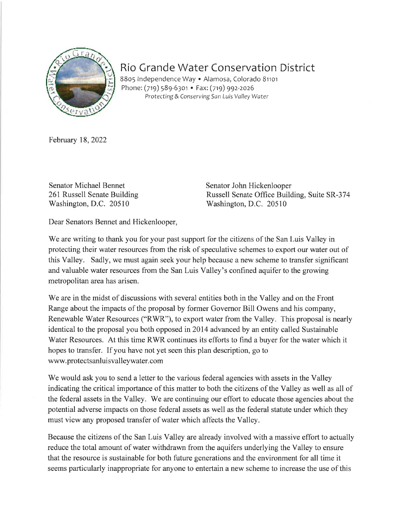

## Rio Grande Water Conservation District

8805 Independence Way · Alamosa, Colorado 81101 Phone: (719) 589-6301 • Fax: (719) 992-2026 Protecting & Conserving San Luis Valley Water

February 18, 2022

**Senator Michael Bennet** 261 Russell Senate Building Washington, D.C. 20510

Senator John Hickenlooper Russell Senate Office Building, Suite SR-374 Washington, D.C. 20510

Dear Senators Bennet and Hickenlooper,

We are writing to thank you for your past support for the citizens of the San Luis Valley in protecting their water resources from the risk of speculative schemes to export our water out of this Valley. Sadly, we must again seek your help because a new scheme to transfer significant and valuable water resources from the San Luis Valley's confined aquifer to the growing metropolitan area has arisen.

We are in the midst of discussions with several entities both in the Valley and on the Front Range about the impacts of the proposal by former Governor Bill Owens and his company, Renewable Water Resources ("RWR"), to export water from the Valley. This proposal is nearly identical to the proposal you both opposed in 2014 advanced by an entity called Sustainable Water Resources. At this time RWR continues its efforts to find a buyer for the water which it hopes to transfer. If you have not yet seen this plan description, go to www.protectsanluisvalleywater.com

We would ask you to send a letter to the various federal agencies with assets in the Valley indicating the critical importance of this matter to both the citizens of the Valley as well as all of the federal assets in the Valley. We are continuing our effort to educate those agencies about the potential adverse impacts on those federal assets as well as the federal statute under which they must view any proposed transfer of water which affects the Valley.

Because the citizens of the San Luis Valley are already involved with a massive effort to actually reduce the total amount of water withdrawn from the aquifers underlying the Valley to ensure that the resource is sustainable for both future generations and the environment for all time it seems particularly inappropriate for anyone to entertain a new scheme to increase the use of this